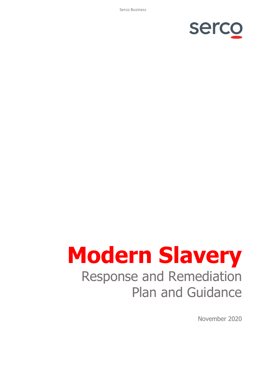Serco Business



# **Modern Slavery** Response and Remediation Plan and Guidance

November 2020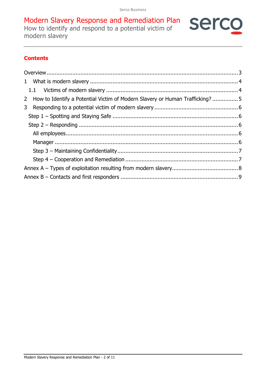serco

Modern Slavery Response and Remediation Plan How to identify and respond to a potential victim of modern slavery

# **Contents**

| 2 How to Identify a Potential Victim of Modern Slavery or Human Trafficking? 5 |  |
|--------------------------------------------------------------------------------|--|
|                                                                                |  |
|                                                                                |  |
|                                                                                |  |
|                                                                                |  |
|                                                                                |  |
|                                                                                |  |
|                                                                                |  |
|                                                                                |  |
|                                                                                |  |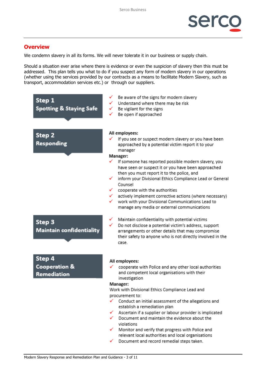

### <span id="page-2-0"></span>**Overview**

We condemn slavery in all its forms. We will never tolerate it in our business or supply chain.

Should a situation ever arise where there is evidence or even the suspicion of slavery then this must be addressed. This plan tells you what to do if you suspect any form of modern slavery in our operations (whether using the services provided by our contracts as a means to facilitate Modern Slavery, such as transport, accommodation services etc.) or through our suppliers.

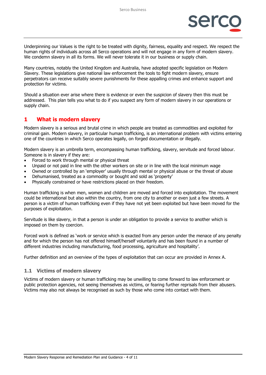

Underpinning our Values is the right to be treated with dignity, fairness, equality and respect. We respect the human rights of individuals across all Serco operations and will not engage in any form of modern slavery. We condemn slavery in all its forms. We will never tolerate it in our business or supply chain.

Many countries, notably the United Kingdom and Australia, have adopted specific legislation on Modern Slavery. These legislations give national law enforcement the tools to fight modern slavery, ensure perpetrators can receive suitably severe punishments for these appalling crimes and enhance support and protection for victims.

Should a situation ever arise where there is evidence or even the suspicion of slavery then this must be addressed. This plan tells you what to do if you suspect any form of modern slavery in our operations or supply chain.

#### <span id="page-3-0"></span>**1 What is modern slavery**

Modern slavery is a serious and brutal crime in which people are treated as commodities and exploited for criminal gain. Modern slavery, in particular human trafficking, is an international problem with victims entering one of the countries in which Serco operates legally, on forged documentation or illegally.

Modern slavery is an umbrella term, encompassing human trafficking, slavery, servitude and forced labour. Someone is in slavery if they are:

- Forced to work through mental or physical threat
- Unpaid or not paid in line with the other workers on site or in line with the local minimum wage
- Owned or controlled by an 'employer' usually through mental or physical abuse or the threat of abuse
- Dehumanised, treated as a commodity or bought and sold as 'property'
- Physically constrained or have restrictions placed on their freedom.

Human trafficking is when men, women and children are moved and forced into exploitation. The movement could be international but also within the country, from one city to another or even just a few streets. A person is a victim of human trafficking even if they have not yet been exploited but have been moved for the purposes of exploitation.

Servitude is like slavery, in that a person is under an obligation to provide a service to another which is imposed on them by coercion.

Forced work is defined as 'work or service which is exacted from any person under the menace of any penalty and for which the person has not offered himself/herself voluntarily and has been found in a number of different industries including manufacturing, food processing, agriculture and hospitality'.

Further definition and an overview of the types of exploitation that can occur are provided in Annex A.

#### <span id="page-3-1"></span>**1.1 Victims of modern slavery**

Victims of modern slavery or human trafficking may be unwilling to come forward to law enforcement or public protection agencies, not seeing themselves as victims, or fearing further reprisals from their abusers. Victims may also not always be recognised as such by those who come into contact with them.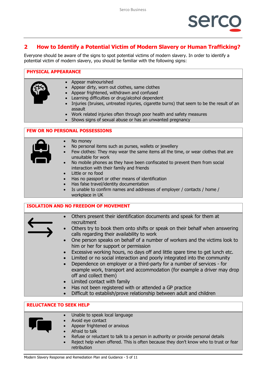

# <span id="page-4-0"></span>**2 How to Identify a Potential Victim of Modern Slavery or Human Trafficking?**

Everyone should be aware of the signs to spot potential victims of modern slavery. In order to identify a potential victim of modern slavery, you should be familiar with the following signs:

#### **PHYSICAL APPEARANCE**

- 
- Appear malnourished
	- Appear dirty, worn out clothes, same clothes
	- Appear frightened, withdrawn and confused
	- Learning difficulties or drug/alcohol dependent
	- Injuries (bruises, untreated injuries, cigarette burns) that seem to be the result of an assault
	- Work related injuries often through poor health and safety measures
	- Shows signs of sexual abuse or has an unwanted pregnancy

#### **FEW OR NO PERSONAL POSSESSIONS**



- No money
- No personal items such as purses, wallets or jewellery
- Few clothes: They may wear the same items all the time, or wear clothes that are unsuitable for work
- No mobile phones as they have been confiscated to prevent them from social interaction with their family and friends
- Little or no food
- Has no passport or other means of identification
- Has false travel/identity documentation
- Is unable to confirm names and addresses of employer / contacts / home / workplace in UK

#### **ISOLATION AND NO FREEDOM OF MOVEMENT**

| $\bullet$                      | Others present their identification documents and speak for them at                                                       |  |  |  |
|--------------------------------|---------------------------------------------------------------------------------------------------------------------------|--|--|--|
|                                | recruitment                                                                                                               |  |  |  |
|                                |                                                                                                                           |  |  |  |
| $\bullet$                      | Others try to book them onto shifts or speak on their behalf when answering<br>calls regarding their availability to work |  |  |  |
|                                | One person speaks on behalf of a number of workers and the victims look to                                                |  |  |  |
|                                | him or her for support or permission                                                                                      |  |  |  |
|                                | • Excessive working hours, no days off and little spare time to get lunch etc.                                            |  |  |  |
|                                | Limited or no social interaction and poorly integrated into the community                                                 |  |  |  |
|                                | Dependence on employer or a third-party for a number of services - for                                                    |  |  |  |
|                                | example work, transport and accommodation (for example a driver may drop                                                  |  |  |  |
|                                | off and collect them)                                                                                                     |  |  |  |
|                                | • Limited contact with family                                                                                             |  |  |  |
|                                | Has not been registered with or attended a GP practice                                                                    |  |  |  |
|                                | Difficult to establish/prove relationship between adult and children                                                      |  |  |  |
|                                |                                                                                                                           |  |  |  |
| <b>RELUCTANCE TO SEEK HELP</b> |                                                                                                                           |  |  |  |
|                                |                                                                                                                           |  |  |  |



- Unable to speak local language
- Avoid eye contact
- Appear frightened or anxious
- Afraid to talk
- Refuse or reluctant to talk to a person in authority or provide personal details
- Reject help when offered. This is often because they don't know who to trust or fear retribution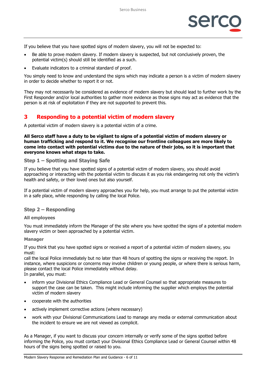

If you believe that you have spotted signs of modern slavery, you will not be expected to:

- Be able to prove modern slavery. If modern slavery is suspected, but not conclusively proven, the potential victim(s) should still be identified as a such.
- Evaluate indicators to a criminal standard of proof.

You simply need to know and understand the signs which may indicate a person is a victim of modern slavery in order to decide whether to report it or not.

They may not necessarily be considered as evidence of modern slavery but should lead to further work by the First Responder and/or local authorities to gather more evidence as those signs may act as evidence that the person is at risk of exploitation if they are not supported to prevent this.

## <span id="page-5-0"></span>**3 Responding to a potential victim of modern slavery**

A potential victim of modern slavery is a potential victim of a crime.

**All Serco staff have a duty to be vigilant to signs of a potential victim of modern slavery or human trafficking and respond to it. We recognise our frontline colleagues are more likely to come into contact with potential victims due to the nature of their jobs, so it is important that everyone knows what steps to take.**

#### <span id="page-5-1"></span>**Step 1 – Spotting and Staying Safe**

If you believe that you have spotted signs of a potential victim of modern slavery, you should avoid approaching or interacting with the potential victim to discuss it as you risk endangering not only the victim's health and safety, or their loved ones but also yourself.

If a potential victim of modern slavery approaches you for help, you must arrange to put the potential victim in a safe place, while responding by calling the local Police.

#### <span id="page-5-2"></span>**Step 2 – Responding**

#### <span id="page-5-3"></span>**All employees**

You must immediately inform the Manager of the site where you have spotted the signs of a potential modern slavery victim or been approached by a potential victim.

#### <span id="page-5-4"></span>**Manager**

If you think that you have spotted signs or received a report of a potential victim of modern slavery, you must:

call the local Police immediately but no later than 48 hours of spotting the signs or receiving the report. In instance, where suspicions or concerns may involve children or young people, or where there is serious harm, please contact the local Police immediately without delay.

In parallel, you must:

- inform your Divisional Ethics Compliance Lead or General Counsel so that appropriate measures to support the case can be taken. This might include informing the supplier which employs the potential victim of modern slavery
- cooperate with the authorities
- actively implement corrective actions (where necessary)
- work with your Divisional Communications Lead to manage any media or external communication about the incident to ensure we are not viewed as complicit.

As a Manager, if you want to discuss your concern internally or verify some of the signs spotted before informing the Police, you must contact your Divisional Ethics Compliance Lead or General Counsel within 48 hours of the signs being spotted or raised to you.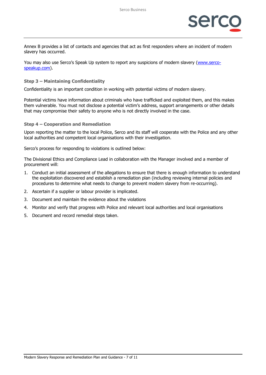

Annex B provides a list of contacts and agencies that act as first responders where an incident of modern slavery has occurred.

You may also use Serco's Speak Up system to report any suspicions of modern slavery [\(www.serco](http://www.serco-speakup.com/)[speakup.com\)](http://www.serco-speakup.com/).

#### <span id="page-6-0"></span>**Step 3 – Maintaining Confidentiality**

Confidentiality is an important condition in working with potential victims of modern slavery.

Potential victims have information about criminals who have trafficked and exploited them, and this makes them vulnerable. You must not disclose a potential victim's address, support arrangements or other details that may compromise their safety to anyone who is not directly involved in the case.

#### <span id="page-6-1"></span>**Step 4 – Cooperation and Remediation**

Upon reporting the matter to the local Police, Serco and its staff will cooperate with the Police and any other local authorities and competent local organisations with their investigation.

Serco's process for responding to violations is outlined below:

The Divisional Ethics and Compliance Lead in collaboration with the Manager involved and a member of procurement will:

- 1. Conduct an initial assessment of the allegations to ensure that there is enough information to understand the exploitation discovered and establish a remediation plan (including reviewing internal policies and procedures to determine what needs to change to prevent modern slavery from re-occurring).
- 2. Ascertain if a supplier or labour provider is implicated.
- 3. Document and maintain the evidence about the violations
- 4. Monitor and verify that progress with Police and relevant local authorities and local organisations
- 5. Document and record remedial steps taken.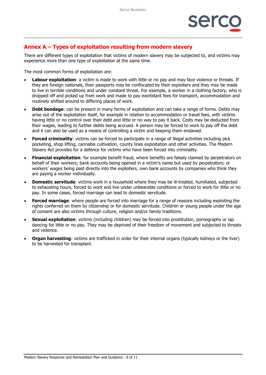# <span id="page-7-0"></span>**Annex A – Types of exploitation resulting from modern slavery**

There are different types of exploitation that victims of modern slavery may be subjected to, and victims may experience more than one type of exploitation at the same time.

The most common forms of exploitation are:

- **Labour exploitation**: a victim is made to work with little or no pay and may face violence or threats. If they are foreign nationals, their passports may be confiscated by their exploiters and they may be made to live in terrible conditions and under constant threat. For example, a worker in a clothing factory, who is dropped off and picked up from work and made to pay exorbitant fees for transport, accommodation and routinely shifted around to differing places of work.
- **Debt bondage:** can be present in many forms of exploitation and can take a range of forms. Debts may arise out of the exploitation itself, for example in relation to accommodation or travel fees, with victims having little or no control over their debt and little or no way to pay it back. Costs may be deducted from their wages, leading to further debts being accrued. A person may be forced to work to pay off the debt and it can also be used as a means of controlling a victim and keeping them enslaved.
- **Forced criminality:** victims can be forced to participate in a range of illegal activities including pick pocketing, shop lifting, cannabis cultivation, county lines exploitation and other activities. The Modern Slavery Act provides for a defence for victims who have been forced into criminality.
- **Financial exploitation**: for example benefit fraud, where benefits are falsely claimed by perpetrators on behalf of their workers; bank accounts being opened in a victim's name but used by perpetrators; or workers' wages being paid directly into the exploiters, own bank accounts by companies who think they are paying a worker individually.
- **Domestic servitude**: victims work in a household where they may be ill-treated, humiliated, subjected to exhausting hours, forced to work and live under unbearable conditions or forced to work for little or no pay. In some cases, forced marriage can lead to domestic servitude.
- **Forced marriage**: where people are forced into marriage for a range of reasons including exploiting the rights conferred on them by citizenship or for domestic servitude. Children or young people under the age of consent are also victims through culture, religion and/or family traditions.
- **Sexual exploitation**: victims (including children) may be forced into prostitution, pornography or lap dancing for little or no pay. They may be deprived of their freedom of movement and subjected to threats and violence.
- **Organ harvesting**: victims are trafficked in order for their internal organs (typically kidneys or the liver) to be harvested for transplant.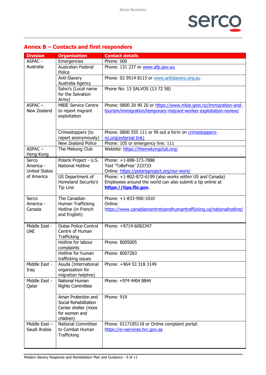

# <span id="page-8-0"></span>**Annex B – Contacts and first responders**

| <b>Division</b>                 | <b>Organisation</b>                          | <b>Contact details</b>                                                             |
|---------------------------------|----------------------------------------------|------------------------------------------------------------------------------------|
| <b>ASPAC -</b>                  | Emergencies                                  | Phone: 000                                                                         |
| Australia                       | <b>Australian Federal</b><br>Police          | Phone: 131 237 or www.afp.gov.au                                                   |
|                                 | Anti-Slavery<br>Australia Agency             | Phone: 02 9514 8115 or www.antislavery.org.au                                      |
|                                 | Salvo's (Local name                          | Phone No: 13 SALVOS (13 72 58)                                                     |
|                                 | for the Salvation<br>Army)                   |                                                                                    |
| $ASPAC -$                       | <b>MBIE Service Centre</b>                   | Phone: 0800 20 90 20 or https://www.mbie.govt.nz/immigration-and-                  |
| New Zealand                     | to report migrant<br>exploitation            | tourism/immigration/temporary-migrant-worker-exploitation-review/                  |
|                                 | Crimestoppers (to                            | Phone: 0800 555 111 or fill out a form on crimestoppers-                           |
|                                 | report anonymously)                          | nz.org(external link)                                                              |
|                                 | New Zealand Police                           | Phone: 105 or emergency line: 111                                                  |
| $ASPAC -$<br>Hong-Kong          | The Mekong Club                              | Website: https://themekongclub.org/                                                |
| Serco                           | Polaris Project - U.S.                       | Phone: +1-888-373-7888                                                             |
| America -                       | <b>National Hotline</b>                      | Text 'ToBeFree' 233733                                                             |
| <b>United States</b>            |                                              | Online: https://polarisproject.org/our-work/                                       |
| of America                      | US Department of<br>Homeland Security's      | Phone: +1-802-872-6199 (also works within US and Canada)                           |
|                                 | Tip Line                                     | Employees around the world can also submit a tip online at<br>https://tips.fbi.gov |
|                                 |                                              |                                                                                    |
| Serco                           | The Canadian                                 | Phone: +1-833-900-1010                                                             |
| America -                       | Human Trafficking                            | Online:                                                                            |
| Canada                          | Hotline (in French                           | https://www.canadiancentretoendhumantrafficking.ca/nationalhotline/                |
|                                 | and English)                                 |                                                                                    |
| Middle East -                   | Dubai Police-Control                         | Phone: +9714-6082347                                                               |
| <b>UAE</b>                      | Centre of Human                              |                                                                                    |
|                                 | Trafficking<br>Hotline for labour            | Phone: 8005005                                                                     |
|                                 | complaints                                   |                                                                                    |
|                                 | Hotline for human<br>trafficking issues      | Phone: 8007283                                                                     |
| Middle East -                   | Asuda (International                         | Phone: +964 53 318 3149                                                            |
| Iraq                            | organization for                             |                                                                                    |
|                                 | migration helpline)                          |                                                                                    |
| Middle East -                   | National Human                               | Phone: +974 4404 8844                                                              |
| Qatar                           | <b>Rights Committee</b>                      |                                                                                    |
|                                 | Aman Protection and                          | Phone: 919                                                                         |
|                                 | Social Rehabilitation                        |                                                                                    |
|                                 | Center shelter (more                         |                                                                                    |
|                                 | for women and                                |                                                                                    |
|                                 | children)                                    |                                                                                    |
| Middle East $-$<br>Saudi Arabia | <b>National Committee</b><br>to Combat Human | Phone: 0117185118 or Online complaint portal:                                      |
|                                 | Trafficking                                  | https://e=services.hrc.gov.sa                                                      |
|                                 |                                              |                                                                                    |
|                                 |                                              |                                                                                    |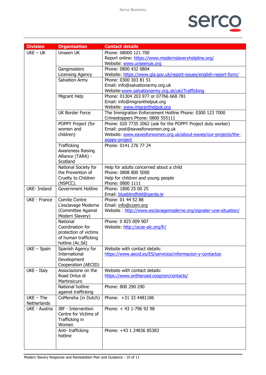# serco

| <b>Division</b>            | <b>Organisation</b>                   | <b>Contact details</b>                                                                     |
|----------------------------|---------------------------------------|--------------------------------------------------------------------------------------------|
| $UKE - UK$                 | Unseen UK                             | Phone: 08000 121 700                                                                       |
|                            |                                       | Report online: https://www.modernslaveryhelpline.org/                                      |
|                            |                                       | Website: www.unseenuk.org                                                                  |
|                            | Gangmasters                           | Phone: 0800 432 0804                                                                       |
|                            | <b>Licensing Agency</b>               | Website: https://www.gla.gov.uk/report-issues/english-report-form/                         |
|                            | Salvation Army                        | Phone: 0300 303 81 51                                                                      |
|                            |                                       | Email: info@salvationarmy.org.uk                                                           |
|                            |                                       | Website: www.salvationarmy.org.uk/uki/Trafficking<br>Phone: 01304 203 977 or 07766 668 781 |
|                            | Migrant Help                          | Email: info@migranthelpuk.org                                                              |
|                            |                                       | Website: www.migranthelpuk.org                                                             |
|                            | <b>UK Border Force</b>                | The Immigration Enforcement Hotline Phone: 0300 123 7000                                   |
|                            |                                       | Crimestoppers Phone: 0800 555111                                                           |
|                            | POPPY Project (for                    | Phone: 020 7735 2062 (ask for the POPPY Project duty worker)                               |
|                            | women and                             | Email: post@eavesforwomen.org.uk                                                           |
|                            | children)                             | Website: www.eavesforwomen.org.uk/about-eaves/our-projects/the-                            |
|                            |                                       | poppy-project                                                                              |
|                            | Trafficking                           | Phone: 0141 276 77 24                                                                      |
|                            | Awareness Raising                     |                                                                                            |
|                            | Alliance (TARA) -<br>Scotland         |                                                                                            |
|                            | National Society for                  | Help for adults concerned about a child                                                    |
|                            | the Prevention of                     | Phone: 0808 800 5000                                                                       |
|                            | Cruelty to Children                   | Help for children and young people                                                         |
| <b>UKE-Ireland</b>         | (NSPCC).<br><b>Government Hotline</b> | Phone: 0800 1111<br>Phone: 1800 25 00 25                                                   |
|                            |                                       | Email: blueblindfold@garda.ie                                                              |
| UKE - France               | <b>Comite Contre</b>                  | Phone: 01 44 52 88                                                                         |
|                            | L'esclavage Moderne                   | Email: info@ccem.org                                                                       |
|                            | (Committee Against                    | Website : http://www.esclavagemoderne.org/signaler-une-situation/                          |
|                            | Modern Slavery)                       |                                                                                            |
|                            | National                              | Phone: 0 825 009 907                                                                       |
|                            | Coordination for                      | Website: http://acse-alc.org/fr/                                                           |
|                            | protection of victims                 |                                                                                            |
|                            | of human trafficking                  |                                                                                            |
| $UKE - Spain$              | hotline (Ac.Sé)<br>Spanish Agency for | Website with contact details:                                                              |
|                            | International                         | https://www.aecid.es/ES/servicios/informacion-y-contactos                                  |
|                            | Development                           |                                                                                            |
|                            | Cooperation (AECID)                   |                                                                                            |
| UKE - Italy                | Associazione on the                   | Website with contact details:                                                              |
|                            | Road Onlus di                         | https://www.ontheroad.coop/en/contacts/                                                    |
|                            | Martinsicuro                          |                                                                                            |
|                            | National hotline                      | Phone: 800 290 290                                                                         |
|                            | against trafficking                   |                                                                                            |
| $UKE - The$<br>Netherlands | CoMensha (in Dutch)                   | Phone: +31 33 4481186                                                                      |
| UKE - Austria              | IBF - Intervention                    | Phone: +43 1-796 92 98                                                                     |
|                            | Centre for Victims of                 |                                                                                            |
|                            | Trafficking in                        |                                                                                            |
|                            | Women                                 |                                                                                            |
|                            | Anti-trafficking<br>hotline           | Phone: +43 1 24836 85383                                                                   |
|                            |                                       |                                                                                            |
|                            |                                       |                                                                                            |
|                            |                                       |                                                                                            |